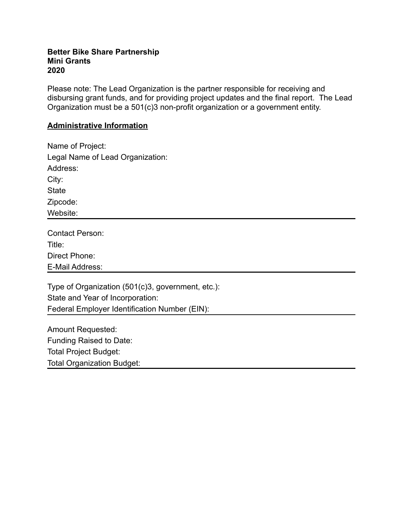## **Better Bike Share Partnership Mini Grants 2020**

Please note: The Lead Organization is the partner responsible for receiving and disbursing grant funds, and for providing project updates and the final report. The Lead Organization must be a 501(c)3 non-profit organization or a government entity.

## **Administrative Information**

| Name of Project:                 |
|----------------------------------|
| Legal Name of Lead Organization: |
| Address:                         |
| City:                            |
| <b>State</b>                     |
| Zipcode:                         |
| Website:                         |

| <b>Contact Person:</b> |  |
|------------------------|--|
| Title:                 |  |
| Direct Phone:          |  |
| E-Mail Address:        |  |

Type of Organization (501(c)3, government, etc.): State and Year of Incorporation: Federal Employer Identification Number (EIN):

Amount Requested: Funding Raised to Date: Total Project Budget: Total Organization Budget: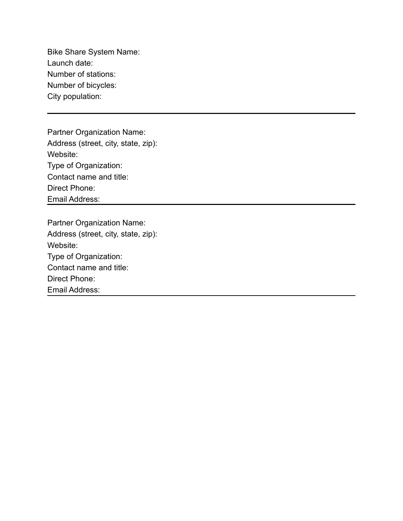Bike Share System Name: Launch date: Number of stations: Number of bicycles: City population:

Partner Organization Name: Address (street, city, state, zip): Website: Type of Organization: Contact name and title: Direct Phone: Email Address:

Partner Organization Name: Address (street, city, state, zip): Website: Type of Organization: Contact name and title: Direct Phone: Email Address: